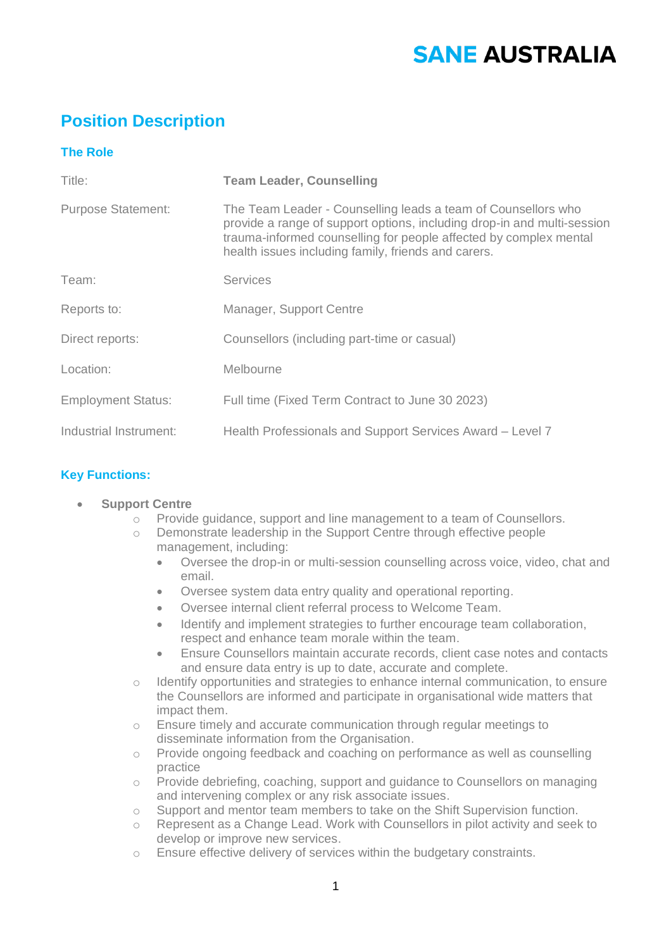# **SANE AUSTRALIA**

# **Position Description**

## **The Role**

| Title:                    | <b>Team Leader, Counselling</b>                                                                                                                                                                                                                                      |
|---------------------------|----------------------------------------------------------------------------------------------------------------------------------------------------------------------------------------------------------------------------------------------------------------------|
| <b>Purpose Statement:</b> | The Team Leader - Counselling leads a team of Counsellors who<br>provide a range of support options, including drop-in and multi-session<br>trauma-informed counselling for people affected by complex mental<br>health issues including family, friends and carers. |
| Team:                     | <b>Services</b>                                                                                                                                                                                                                                                      |
| Reports to:               | Manager, Support Centre                                                                                                                                                                                                                                              |
| Direct reports:           | Counsellors (including part-time or casual)                                                                                                                                                                                                                          |
| Location:                 | Melbourne                                                                                                                                                                                                                                                            |
| <b>Employment Status:</b> | Full time (Fixed Term Contract to June 30 2023)                                                                                                                                                                                                                      |
| Industrial Instrument:    | Health Professionals and Support Services Award - Level 7                                                                                                                                                                                                            |

### **Key Functions:**

- **Support Centre** 
	- o Provide guidance, support and line management to a team of Counsellors.
	- o Demonstrate leadership in the Support Centre through effective people management, including:
		- Oversee the drop-in or multi-session counselling across voice, video, chat and email.
		- Oversee system data entry quality and operational reporting.
		- Oversee internal client referral process to Welcome Team.
		- Identify and implement strategies to further encourage team collaboration, respect and enhance team morale within the team.
		- Ensure Counsellors maintain accurate records, client case notes and contacts and ensure data entry is up to date, accurate and complete.
	- o Identify opportunities and strategies to enhance internal communication, to ensure the Counsellors are informed and participate in organisational wide matters that impact them.
	- o Ensure timely and accurate communication through regular meetings to disseminate information from the Organisation.
	- o Provide ongoing feedback and coaching on performance as well as counselling practice
	- o Provide debriefing, coaching, support and guidance to Counsellors on managing and intervening complex or any risk associate issues.
	- $\circ$  Support and mentor team members to take on the Shift Supervision function.
	- o Represent as a Change Lead. Work with Counsellors in pilot activity and seek to develop or improve new services.
	- o Ensure effective delivery of services within the budgetary constraints.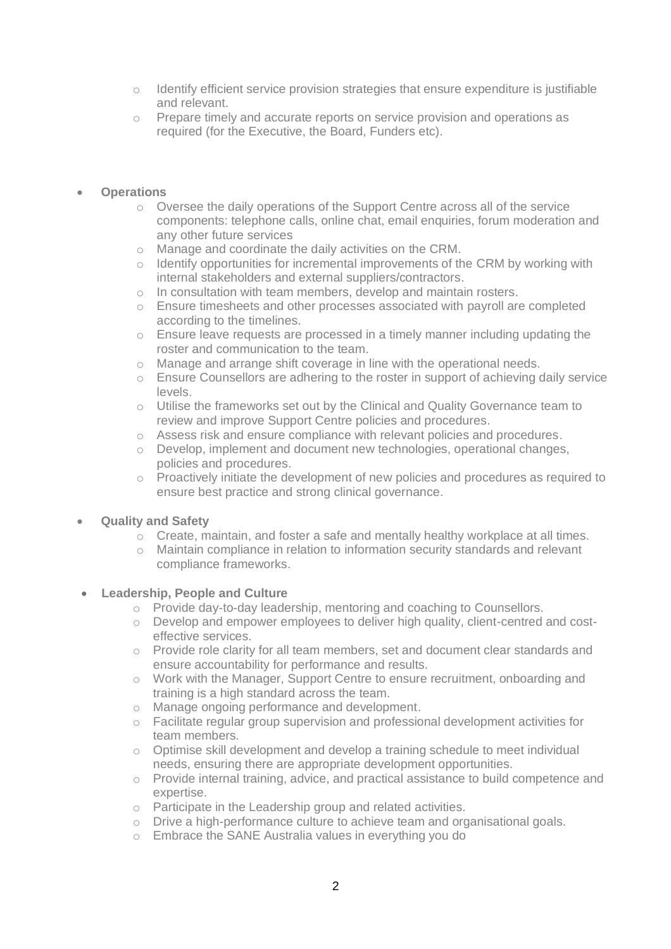- $\circ$  Identify efficient service provision strategies that ensure expenditure is justifiable and relevant.
- o Prepare timely and accurate reports on service provision and operations as required (for the Executive, the Board, Funders etc).

#### • **Operations**

- o Oversee the daily operations of the Support Centre across all of the service components: telephone calls, online chat, email enquiries, forum moderation and any other future services
- o Manage and coordinate the daily activities on the CRM.
- $\circ$  Identify opportunities for incremental improvements of the CRM by working with internal stakeholders and external suppliers/contractors.
- o In consultation with team members, develop and maintain rosters.
- o Ensure timesheets and other processes associated with payroll are completed according to the timelines.
- o Ensure leave requests are processed in a timely manner including updating the roster and communication to the team.
- o Manage and arrange shift coverage in line with the operational needs.
- $\circ$  Ensure Counsellors are adhering to the roster in support of achieving daily service levels.
- o Utilise the frameworks set out by the Clinical and Quality Governance team to review and improve Support Centre policies and procedures.
- o Assess risk and ensure compliance with relevant policies and procedures.
- o Develop, implement and document new technologies, operational changes, policies and procedures.
- $\circ$  Proactively initiate the development of new policies and procedures as required to ensure best practice and strong clinical governance.

#### • **Quality and Safety**

- $\circ$  Create, maintain, and foster a safe and mentally healthy workplace at all times.
- o Maintain compliance in relation to information security standards and relevant compliance frameworks.

#### • **Leadership, People and Culture**

- o Provide day-to-day leadership, mentoring and coaching to Counsellors.
- o Develop and empower employees to deliver high quality, client-centred and costeffective services.
- o Provide role clarity for all team members, set and document clear standards and ensure accountability for performance and results.
- o Work with the Manager, Support Centre to ensure recruitment, onboarding and training is a high standard across the team.
- o Manage ongoing performance and development.
- o Facilitate regular group supervision and professional development activities for team members.
- $\circ$  Optimise skill development and develop a training schedule to meet individual needs, ensuring there are appropriate development opportunities.
- o Provide internal training, advice, and practical assistance to build competence and expertise.
- o Participate in the Leadership group and related activities.
- o Drive a high-performance culture to achieve team and organisational goals.
- o Embrace the SANE Australia values in everything you do